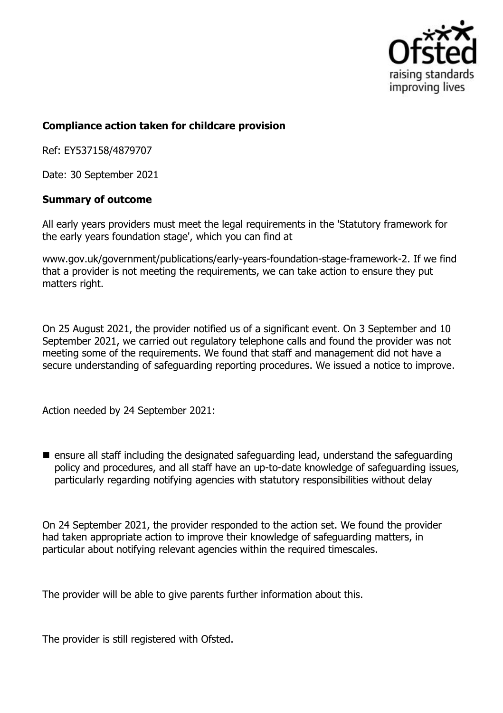

## **Compliance action taken for childcare provision**

Ref: EY537158/4879707

Date: 30 September 2021

## **Summary of outcome**

All early years providers must meet the legal requirements in the 'Statutory framework for the early years foundation stage', which you can find at

www.gov.uk/government/publications/early-years-foundation-stage-framework-2. If we find that a provider is not meeting the requirements, we can take action to ensure they put matters right.

On 25 August 2021, the provider notified us of a significant event. On 3 September and 10 September 2021, we carried out regulatory telephone calls and found the provider was not meeting some of the requirements. We found that staff and management did not have a secure understanding of safeguarding reporting procedures. We issued a notice to improve.

Action needed by 24 September 2021:

 $\blacksquare$  ensure all staff including the designated safeguarding lead, understand the safeguarding policy and procedures, and all staff have an up-to-date knowledge of safeguarding issues, particularly regarding notifying agencies with statutory responsibilities without delay

On 24 September 2021, the provider responded to the action set. We found the provider had taken appropriate action to improve their knowledge of safeguarding matters, in particular about notifying relevant agencies within the required timescales.

The provider will be able to give parents further information about this.

The provider is still registered with Ofsted.